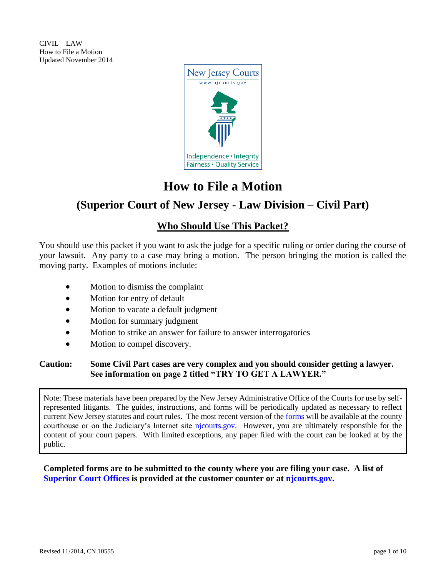CIVIL – LAW How to File a Motion Updated November 2014



# **How to File a Motion**

# **(Superior Court of New Jersey - Law Division – Civil Part)**

# **Who Should Use This Packet?**

You should use this packet if you want to ask the judge for a specific ruling or order during the course of your lawsuit. Any party to a case may bring a motion. The person bringing the motion is called the moving party. Examples of motions include:

- Motion to dismiss the complaint
- Motion for entry of default
- Motion to vacate a default judgment
- Motion for summary judgment
- Motion to strike an answer for failure to answer interrogatories
- Motion to compel discovery.

### **Caution: Some Civil Part cases are very complex and you should consider getting a lawyer. See information on page 2 titled "TRY TO GET A LAWYER."**

Note: These materials have been prepared by the New Jersey Administrative Office of the Courts for use by selfrepresented litigants. The guides, instructions, and forms will be periodically updated as necessary to reflect current New Jersey statutes and court rules. The most recent version of the [forms](https://www.njcourts.gov/selfhelp/index.html) will be available at the county courthouse or on the Judiciary's Internet site [njcourts.gov.](https://www.njcourts.gov/selfhelp/index.html) However, you are ultimately responsible for the content of your court papers. With limited exceptions, any paper filed with the court can be looked at by the public.

### **Completed forms are to be submitted to the county where you are filing your case. A list of [Superior Court Offices](http://www.njcourts.gov/forms/11237_directory_civil_ofcs.pdf) is provided at the customer counter or at [njcourts.gov.](http://www.njcourts.gov/forms/11237_directory_civil_ofcs.pdf)**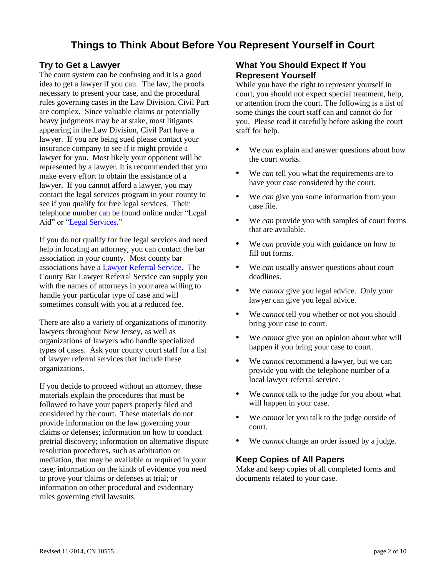# **Things to Think About Before You Represent Yourself in Court**

### **Try to Get a Lawyer**

The court system can be confusing and it is a good idea to get a lawyer if you can. The law, the proofs necessary to present your case, and the procedural rules governing cases in the Law Division, Civil Part are complex. Since valuable claims or potentially heavy judgments may be at stake, most litigants appearing in the Law Division, Civil Part have a lawyer. If you are being sued please contact your insurance company to see if it might provide a lawyer for you. Most likely your opponent will be represented by a lawyer. It is recommended that you make every effort to obtain the assistance of a lawyer. If you cannot afford a lawyer, you may contact the legal services program in your county to see if you qualify for free legal services. Their telephone number can be found online under "Legal Aid" or ["Legal Services.](https://www.lsnj.org/)"

If you do not qualify for free legal services and need help in locating an attorney, you can contact the bar association in your county. Most county bar associations have a [Lawyer Referral Service.](http://apps.americanbar.org/legalservices/lris/directory/main.cfm?id=NJ) The County Bar Lawyer Referral Service can supply you with the names of attorneys in your area willing to handle your particular type of case and will sometimes consult with you at a reduced fee.

There are also a variety of organizations of minority lawyers throughout New Jersey, as well as organizations of lawyers who handle specialized types of cases. Ask your county court staff for a list of lawyer referral services that include these organizations.

If you decide to proceed without an attorney, these materials explain the procedures that must be followed to have your papers properly filed and considered by the court. These materials do not provide information on the law governing your claims or defenses; information on how to conduct pretrial discovery; information on alternative dispute resolution procedures, such as arbitration or mediation, that may be available or required in your case; information on the kinds of evidence you need to prove your claims or defenses at trial; or information on other procedural and evidentiary rules governing civil lawsuits.

## **What You Should Expect If You Represent Yourself**

While you have the right to represent yourself in court, you should not expect special treatment, help, or attention from the court. The following is a list of some things the court staff can and cannot do for you. Please read it carefully before asking the court staff for help.

- **•** We *can* explain and answer questions about how the court works.
- **•** We *can* tell you what the requirements are to have your case considered by the court.
- **•** We *can* give you some information from your case file.
- **•** We *can* provide you with samples of court forms that are available.
- **•** We *can* provide you with guidance on how to fill out forms.
- **•** We *can* usually answer questions about court deadlines.
- **•** We *cannot* give you legal advice. Only your lawyer can give you legal advice.
- **•** We *cannot* tell you whether or not you should bring your case to court.
- **•** We *cannot* give you an opinion about what will happen if you bring your case to court.
- **•** We *cannot* recommend a lawyer, but we can provide you with the telephone number of a local lawyer referral service.
- **•** We *cannot* talk to the judge for you about what will happen in your case.
- **•** We *cannot* let you talk to the judge outside of court.
- **•** We *cannot* change an order issued by a judge.

### **Keep Copies of All Papers**

Make and keep copies of all completed forms and documents related to your case.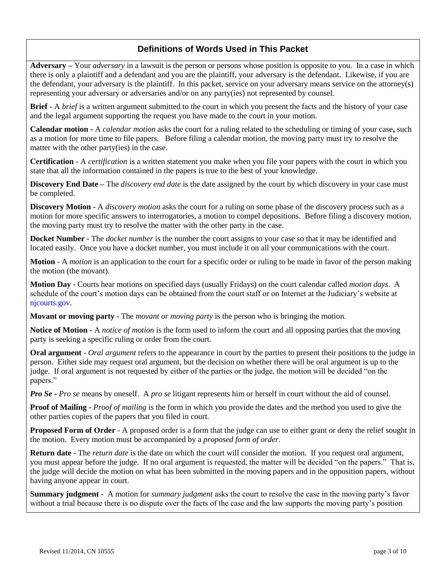# **Definitions of Words Used in This Packet**

**Adversary –** Your *adversary* in a lawsuit is the person or persons whose position is opposite to you. In a case in which there is only a plaintiff and a defendant and you are the plaintiff, your adversary is the defendant. Likewise, if you are the defendant, your adversary is the plaintiff. In this packet, service on your adversary means service on the attorney(s) representing your adversary or adversaries and/or on any party(ies) not represented by counsel.

**Brief -** A *brief* is a written argument submitted to the court in which you present the facts and the history of your case and the legal argument supporting the request you have made to the court in your motion.

**Calendar motion -** A *calendar motion* asks the court for a ruling related to the scheduling or timing of your case**,** such as a motion for more time to file papers.Before filing a calendar motion, the moving party must try to resolve the matter with the other party(ies) in the case.

**Certification** - A *certification* is a written statement you make when you file your papers with the court in which you state that all the information contained in the papers is true to the best of your knowledge.

**Discovery End Date –** The *discovery end date* is the date assigned by the court by which discovery in your case must be completed.

**Discovery Motion -** A *discovery motion* asks the court for a ruling on some phase of the discovery process such as a motion for more specific answers to interrogatories, a motion to compel depositions. Before filing a discovery motion, the moving party must try to resolve the matter with the other party in the case.

**Docket Number -** The *docket number* is the number the court assigns to your case so that it may be identified and located easily. Once you have a docket number, you must include it on all your communications with the court.

**Motion** - A *motion* is an application to the court for a specific order or ruling to be made in favor of the person making the motion (the movant).

**Motion Day** - Courts hear motions on specified days (usually Fridays) on the court calendar called *motion days*. A schedule of the court's motion days can be obtained from the court staff or on Internet at the Judiciary's website at [njcourts.gov.](https://www.njcourts.gov/calendars.html)

**Movant or moving party** - The *movant or moving party* is the person who is bringing the motion.

**Notice of Motion -** A *notice of motion* is the form used to inform the court and all opposing parties that the moving party is seeking a specific ruling or order from the court.

**Oral argument** - *Oral argument* refers to the appearance in court by the parties to present their positions to the judge in person. Either side may request oral argument, but the decision on whether there will be oral argument is up to the judge. If oral argument is not requested by either of the parties or the judge, the motion will be decided "on the papers."

*Pro Se - Pro se* means by oneself. A *pro se* litigant represents him or herself in court without the aid of counsel.

**Proof of Mailing -** *Proof of mailing* is the form in which you provide the dates and the method you used to give the other parties copies of the papers that you filed in court.

**Proposed Form of Order** - A proposed order is a form that the judge can use to either grant or deny the relief sought in the motion. Every motion must be accompanied by a *proposed form of order*.

**Return date** - The *return date* is the date on which the court will consider the motion. If you request oral argument, you must appear before the judge. If no oral argument is requested, the matter will be decided "on the papers." That is, the judge will decide the motion on what has been submitted in the moving papers and in the opposition papers, without having anyone appear in court.

**Summary judgment** - A motion for *summary judgment* asks the court to resolve the case in the moving party's favor without a trial because there is no dispute over the facts of the case and the law supports the moving party's position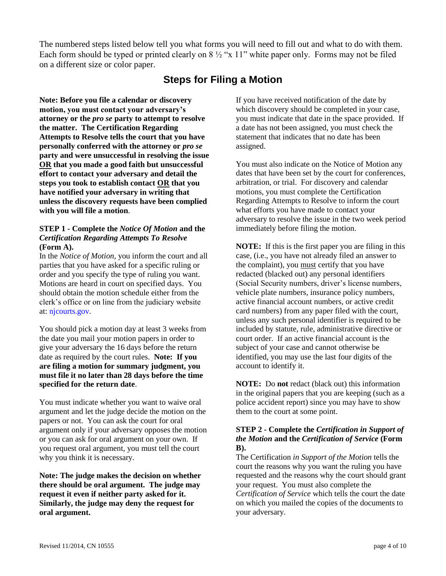The numbered steps listed below tell you what forms you will need to fill out and what to do with them. Each form should be typed or printed clearly on 8 ½ "x 11" white paper only. Forms may not be filed on a different size or color paper.

# **Steps for Filing a Motion**

**Note: Before you file a calendar or discovery motion, you must contact your adversary's attorney or the** *pro se* **party to attempt to resolve the matter. The Certification Regarding Attempts to Resolve tells the court that you have personally conferred with the attorney or** *pro se* **party and were unsuccessful in resolving the issue OR that you made a good faith but unsuccessful effort to contact your adversary and detail the steps you took to establish contact OR that you have notified your adversary in writing that unless the discovery requests have been complied with you will file a motion**.

#### **STEP 1 - Complete the** *Notice Of Motion* **and the**  *Certification Regarding Attempts To Resolve*  **(Form A).**

In the *Notice of Motion,* you inform the court and all parties that you have asked for a specific ruling or order and you specify the type of ruling you want. Motions are heard in court on specified days. You should obtain the motion schedule either from the clerk's office or on line from the judiciary website at[: njcourts.gov.](https://www.njcourts.gov/calendars.html)

You should pick a motion day at least 3 weeks from the date you mail your motion papers in order to give your adversary the 16 days before the return date as required by the court rules. **Note: If you are filing a motion for summary judgment, you must file it no later than 28 days before the time specified for the return date**.

You must indicate whether you want to waive oral argument and let the judge decide the motion on the papers or not. You can ask the court for oral argument only if your adversary opposes the motion or you can ask for oral argument on your own. If you request oral argument, you must tell the court why you think it is necessary.

**Note: The judge makes the decision on whether there should be oral argument. The judge may request it even if neither party asked for it. Similarly, the judge may deny the request for oral argument.**

If you have received notification of the date by which discovery should be completed in your case. you must indicate that date in the space provided. If a date has not been assigned, you must check the statement that indicates that no date has been assigned.

You must also indicate on the Notice of Motion any dates that have been set by the court for conferences, arbitration, or trial. For discovery and calendar motions, you must complete the Certification Regarding Attempts to Resolve to inform the court what efforts you have made to contact your adversary to resolve the issue in the two week period immediately before filing the motion.

**NOTE:** If this is the first paper you are filing in this case, (i.e., you have not already filed an answer to the complaint), you must certify that you have redacted (blacked out) any personal identifiers (Social Security numbers, driver's license numbers, vehicle plate numbers, insurance policy numbers, active financial account numbers, or active credit card numbers) from any paper filed with the court, unless any such personal identifier is required to be included by statute, rule, administrative directive or court order. If an active financial account is the subject of your case and cannot otherwise be identified, you may use the last four digits of the account to identify it.

**NOTE:** Do **not** redact (black out) this information in the original papers that you are keeping (such as a police accident report) since you may have to show them to the court at some point.

#### **STEP 2 - Complete the** *Certification in Support of the Motion* **and the** *Certification of Service* **(Form B).**

The Certification *in Support of the Motion* tells the court the reasons why you want the ruling you have requested and the reasons why the court should grant your request. You must also complete the *Certification of Service* which tells the court the date on which you mailed the copies of the documents to your adversary.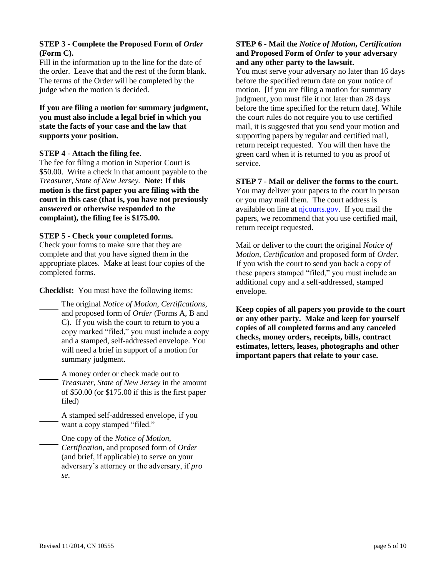#### **STEP 3 - Complete the Proposed Form of** *Order*  **(Form C).**

Fill in the information up to the line for the date of the order. Leave that and the rest of the form blank. The terms of the Order will be completed by the judge when the motion is decided.

**If you are filing a motion for summary judgment, you must also include a legal brief in which you state the facts of your case and the law that supports your position.**

#### **STEP 4 - Attach the filing fee.**

The fee for filing a motion in Superior Court is \$50.00. Write a check in that amount payable to the *Treasurer, State of New Jersey.* **Note: If this motion is the first paper you are filing with the court in this case (that is, you have not previously answered or otherwise responded to the complaint), the filing fee is \$175.00.**

#### **STEP 5 - Check your completed forms.**

Check your forms to make sure that they are complete and that you have signed them in the appropriate places. Make at least four copies of the completed forms.

**Checklist:** You must have the following items:

The original *Notice of Motion, Certifications,* and proposed form of *Order* (Forms A, B and C). If you wish the court to return to you a copy marked "filed," you must include a copy and a stamped, self-addressed envelope. You will need a brief in support of a motion for summary judgment.

A money order or check made out to *Treasurer, State of New Jersey* in the amount of \$50.00 (or \$175.00 if this is the first paper filed)

A stamped self-addressed envelope, if you want a copy stamped "filed."

One copy of the *Notice of Motion, Certification,* and proposed form of *Order* (and brief, if applicable) to serve on your adversary's attorney or the adversary, if *pro se.*

#### **STEP 6 - Mail the** *Notice of Motion***,** *Certification* **and Proposed Form of** *Order* **to your adversary and any other party to the lawsuit.**

You must serve your adversary no later than 16 days before the specified return date on your notice of motion. [If you are filing a motion for summary judgment, you must file it not later than 28 days before the time specified for the return date]. While the court rules do not require you to use certified mail, it is suggested that you send your motion and supporting papers by regular and certified mail, return receipt requested. You will then have the green card when it is returned to you as proof of service.

#### **STEP 7 - Mail or deliver the forms to the court.**

You may deliver your papers to the court in person or you may mail them. The court address is available on line at [njcourts.gov.](https://www.njcourts.gov/courts/index.html) If you mail the papers, we recommend that you use certified mail, return receipt requested.

Mail or deliver to the court the original *Notice of Motion, Certification* and proposed form of *Order.*  If you wish the court to send you back a copy of these papers stamped "filed," you must include an additional copy and a self-addressed, stamped envelope.

**Keep copies of all papers you provide to the court or any other party. Make and keep for yourself copies of all completed forms and any canceled checks, money orders, receipts, bills, contract estimates, letters, leases, photographs and other important papers that relate to your case.**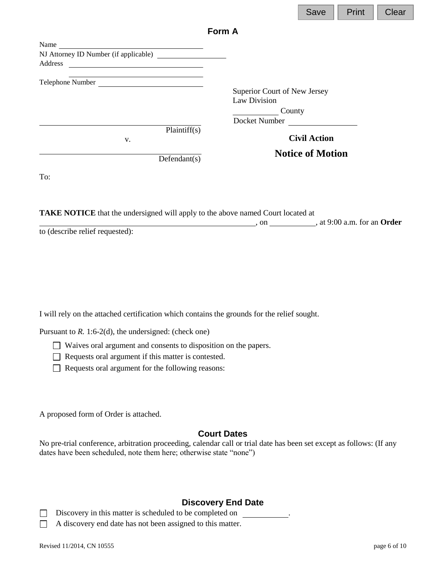|                                                                                                                                  |                              | Save                    | Print | Clear |
|----------------------------------------------------------------------------------------------------------------------------------|------------------------------|-------------------------|-------|-------|
|                                                                                                                                  | Form A                       |                         |       |       |
| Name                                                                                                                             |                              |                         |       |       |
| NJ Attorney ID Number (if applicable)                                                                                            |                              |                         |       |       |
| Address<br><u> 1989 - John Stein, mars and de Brandenburg and de Brandenburg and de Brandenburg and de Brandenburg and de Br</u> |                              |                         |       |       |
| Telephone Number                                                                                                                 |                              |                         |       |       |
|                                                                                                                                  | Superior Court of New Jersey |                         |       |       |
|                                                                                                                                  | Law Division                 |                         |       |       |
|                                                                                                                                  | County                       |                         |       |       |
|                                                                                                                                  | Docket Number                |                         |       |       |
| Plaintiff(s)                                                                                                                     |                              |                         |       |       |
| V.                                                                                                                               |                              | <b>Civil Action</b>     |       |       |
| Defendant(s)                                                                                                                     |                              | <b>Notice of Motion</b> |       |       |
| To:                                                                                                                              |                              |                         |       |       |

7 E

**TAKE NOTICE** that the undersigned will apply to the above named Court located at

, on , at 9:00 a.m. for an **Order**

to (describe relief requested):

I will rely on the attached certification which contains the grounds for the relief sought.

Pursuant to *R*. 1:6-2(d), the undersigned: (check one)

Waives oral argument and consents to disposition on the papers.

Requests oral argument if this matter is contested.

Requests oral argument for the following reasons:

A proposed form of Order is attached.

### **Court Dates**

No pre-trial conference, arbitration proceeding, calendar call or trial date has been set except as follows: (If any dates have been scheduled, note them here; otherwise state "none")

# **Discovery End Date**

Discovery in this matter is scheduled to be completed on  $\Box$ 

A discovery end date has not been assigned to this matter.  $\Box$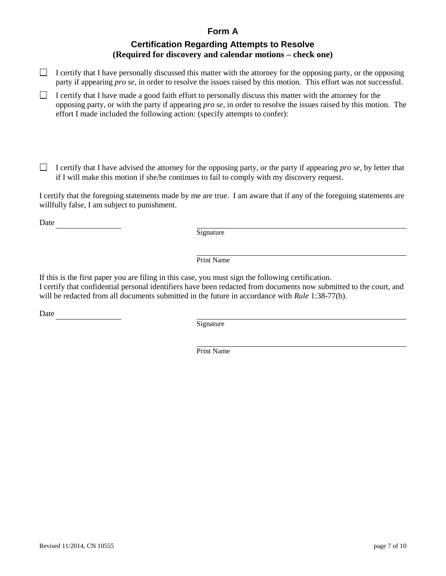### **Form A**

# **Certification Regarding Attempts to Resolve (Required for discovery and calendar motions – check one)**

- I certify that I have personally discussed this matter with the attorney for the opposing party, or the opposing party if appearing *pro se*, in order to resolve the issues raised by this motion. This effort was not successful.
- I certify that I have made a good faith effort to personally discuss this matter with the attorney for the opposing party, or with the party if appearing *pro se*, in order to resolve the issues raised by this motion. The effort I made included the following action: (specify attempts to confer):

 $\Box$ I certify that I have advised the attorney for the opposing party, or the party if appearing *pro se*, by letter that if I will make this motion if she/he continues to fail to comply with my discovery request.

I certify that the foregoing statements made by me are true. I am aware that if any of the foregoing statements are willfully false, I am subject to punishment.

Date

**Signature** 

Print Name

If this is the first paper you are filing in this case, you must sign the following certification. I certify that confidential personal identifiers have been redacted from documents now submitted to the court, and will be redacted from all documents submitted in the future in accordance with *Rule* 1:38-77(b).

Date

**Signature** 

Print Name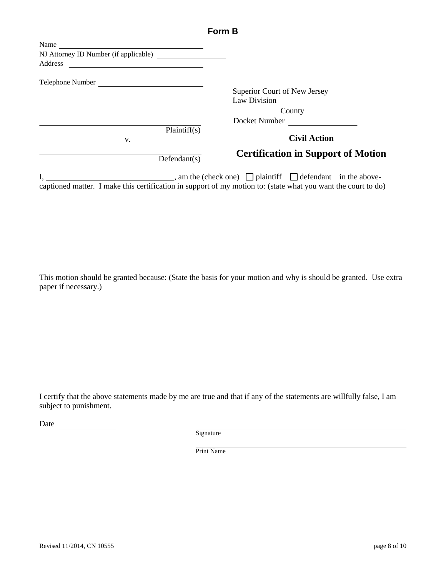|                                       | .  .                                                                      |
|---------------------------------------|---------------------------------------------------------------------------|
| Name                                  |                                                                           |
| NJ Attorney ID Number (if applicable) |                                                                           |
|                                       |                                                                           |
|                                       |                                                                           |
|                                       | Superior Court of New Jersey                                              |
|                                       | Law Division                                                              |
|                                       | County                                                                    |
|                                       | Docket Number                                                             |
| Plaintiff(s)<br>V.                    | <b>Civil Action</b>                                                       |
| Defendant(s)                          | <b>Certification in Support of Motion</b>                                 |
| т                                     | $\Box$ and the (aboal and) $\Box$ plaintiff $\Box$ defendant in the above |

**Form B**

I,  $\Box$  am the (check one)  $\Box$  plaintiff  $\Box$  defendant in the abovecaptioned matter. I make this certification in support of my motion to: (state what you want the court to do)

This motion should be granted because: (State the basis for your motion and why is should be granted. Use extra paper if necessary.)

I certify that the above statements made by me are true and that if any of the statements are willfully false, I am subject to punishment.

Date

Signature

Print Name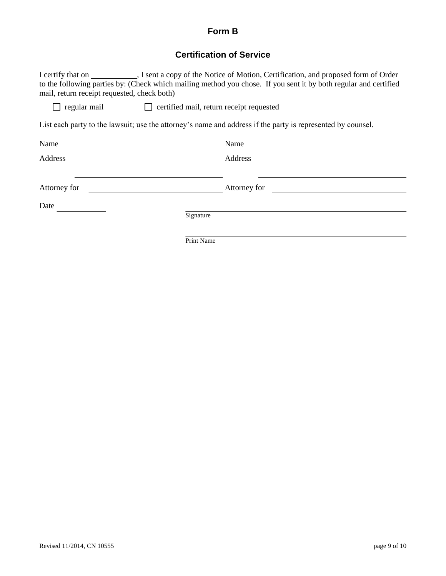# **Form B**

# **Certification of Service**

| mail, return receipt requested, check both) |                                                       | to the following parties by: (Check which mailing method you chose. If you sent it by both regular and certified                                                                                                               |  |  |  |
|---------------------------------------------|-------------------------------------------------------|--------------------------------------------------------------------------------------------------------------------------------------------------------------------------------------------------------------------------------|--|--|--|
|                                             | regular mail certified mail, return receipt requested |                                                                                                                                                                                                                                |  |  |  |
|                                             |                                                       | List each party to the lawsuit; use the attorney's name and address if the party is represented by counsel.                                                                                                                    |  |  |  |
| Name                                        |                                                       | Name                                                                                                                                                                                                                           |  |  |  |
| Address                                     |                                                       | Address and the state of the state of the state of the state of the state of the state of the state of the state of the state of the state of the state of the state of the state of the state of the state of the state of th |  |  |  |
|                                             |                                                       |                                                                                                                                                                                                                                |  |  |  |
| Attorney for                                |                                                       |                                                                                                                                                                                                                                |  |  |  |
| Date                                        |                                                       |                                                                                                                                                                                                                                |  |  |  |
|                                             | Signature                                             |                                                                                                                                                                                                                                |  |  |  |
|                                             | Print Name                                            |                                                                                                                                                                                                                                |  |  |  |